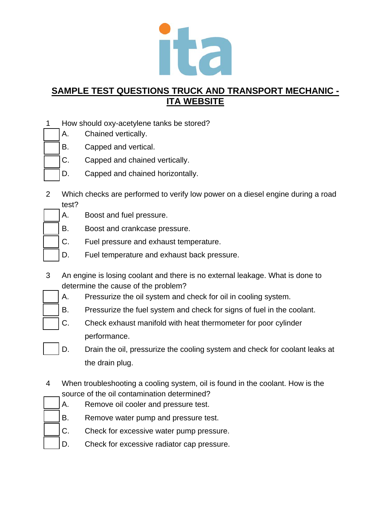

- 1 How should oxy-acetylene tanks be stored?
	- A. Chained vertically.
	- B. Capped and vertical.
	- C. Capped and chained vertically.
	- D. Capped and chained horizontally.
- 2 Which checks are performed to verify low power on a diesel engine during a road test?
	- A. Boost and fuel pressure.
	- B. Boost and crankcase pressure.
	- C. Fuel pressure and exhaust temperature.
	- D. Fuel temperature and exhaust back pressure.
- 3 An engine is losing coolant and there is no external leakage. What is done to determine the cause of the problem?
	- A. Pressurize the oil system and check for oil in cooling system.
	- B. Pressurize the fuel system and check for signs of fuel in the coolant.
	- C. Check exhaust manifold with heat thermometer for poor cylinder performance.
	- D. Drain the oil, pressurize the cooling system and check for coolant leaks at the drain plug.
- 4 When troubleshooting a cooling system, oil is found in the coolant. How is the source of the oil contamination determined?
	- A. Remove oil cooler and pressure test.
	- B. Remove water pump and pressure test.
	- C. Check for excessive water pump pressure.
	- D. Check for excessive radiator cap pressure.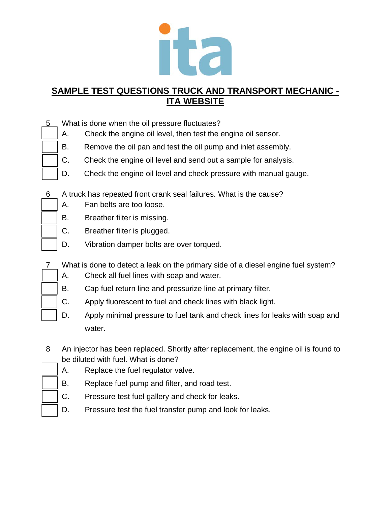

- 5 What is done when the oil pressure fluctuates?
	- A. Check the engine oil level, then test the engine oil sensor.
	- B. Remove the oil pan and test the oil pump and inlet assembly.
	- C. Check the engine oil level and send out a sample for analysis.
	- D. Check the engine oil level and check pressure with manual gauge.
- 6 A truck has repeated front crank seal failures. What is the cause?
	- A. Fan belts are too loose.
	- B. Breather filter is missing.
	- C. Breather filter is plugged.
	- D. Vibration damper bolts are over torqued.
- 7 What is done to detect a leak on the primary side of a diesel engine fuel system?
- 
- A. Check all fuel lines with soap and water.
	- B. Cap fuel return line and pressurize line at primary filter.
	- C. Apply fluorescent to fuel and check lines with black light.
	- D. Apply minimal pressure to fuel tank and check lines for leaks with soap and water.
- 8 An injector has been replaced. Shortly after replacement, the engine oil is found to be diluted with fuel. What is done?
	- A. Replace the fuel regulator valve.
	- B. Replace fuel pump and filter, and road test.
		- C. Pressure test fuel gallery and check for leaks.
		- D. Pressure test the fuel transfer pump and look for leaks.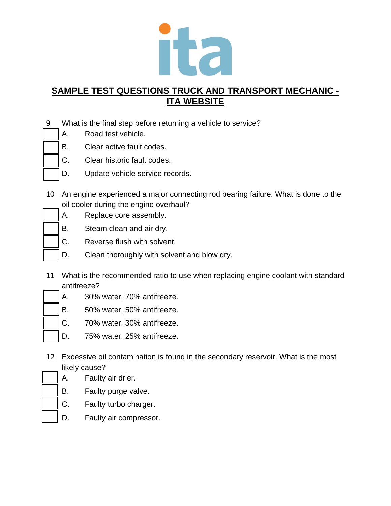

- 9 What is the final step before returning a vehicle to service?
	- A. Road test vehicle.
	- B. Clear active fault codes.
	- C. Clear historic fault codes.
	- D. Update vehicle service records.
- 10 An engine experienced a major connecting rod bearing failure. What is done to the oil cooler during the engine overhaul?
	- A. Replace core assembly.
	- B. Steam clean and air dry.
	- C. Reverse flush with solvent.
	- D. Clean thoroughly with solvent and blow dry.
- 11 What is the recommended ratio to use when replacing engine coolant with standard antifreeze?
- 
- A. 30% water, 70% antifreeze.
	- B. 50% water, 50% antifreeze.
	- C. 70% water, 30% antifreeze.
	- D. 75% water, 25% antifreeze.
- 12 Excessive oil contamination is found in the secondary reservoir. What is the most likely cause?
	- A. Faulty air drier.
	- B. Faulty purge valve.
	- C. Faulty turbo charger.
		- D. Faulty air compressor.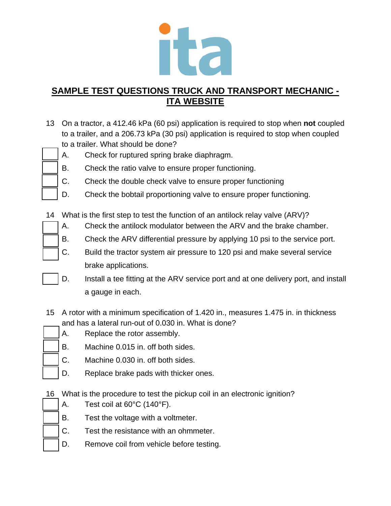

- 13 On a tractor, a 412.46 kPa (60 psi) application is required to stop when **not** coupled to a trailer, and a 206.73 kPa (30 psi) application is required to stop when coupled to a trailer. What should be done?
- - A. Check for ruptured spring brake diaphragm.
	- B. Check the ratio valve to ensure proper functioning.
	- C. Check the double check valve to ensure proper functioning
	- D. Check the bobtail proportioning valve to ensure proper functioning.
	- 14 What is the first step to test the function of an antilock relay valve (ARV)?
		- A. Check the antilock modulator between the ARV and the brake chamber.
		- B. Check the ARV differential pressure by applying 10 psi to the service port.
		- C. Build the tractor system air pressure to 120 psi and make several service brake applications.
		- D. Install a tee fitting at the ARV service port and at one delivery port, and install a gauge in each.
	- 15 A rotor with a minimum specification of 1.420 in., measures 1.475 in. in thickness and has a lateral run-out of 0.030 in. What is done?
		- A. Replace the rotor assembly.
		- B. Machine 0.015 in. off both sides.
		- C. Machine 0.030 in. off both sides.
		- D. Replace brake pads with thicker ones.
	- 16 What is the procedure to test the pickup coil in an electronic ignition?
		- A. Test coil at 60°C (140°F).
		- B. Test the voltage with a voltmeter.
		- C. Test the resistance with an ohmmeter.
			- D. Remove coil from vehicle before testing.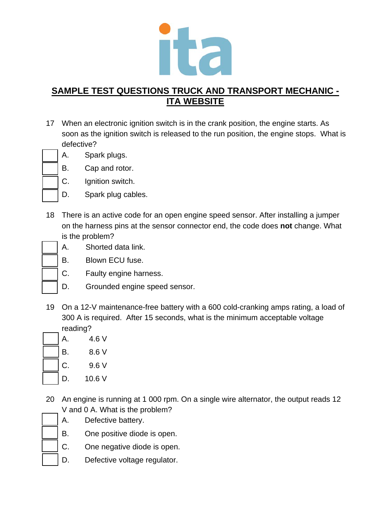

- 17 When an electronic ignition switch is in the crank position, the engine starts. As soon as the ignition switch is released to the run position, the engine stops. What is defective?
- 
- A. Spark plugs.
	- B. Cap and rotor.
	- C. Ignition switch.
	- D. Spark plug cables.
- 18 There is an active code for an open engine speed sensor. After installing a jumper on the harness pins at the sensor connector end, the code does **not** change. What is the problem?
- - A. Shorted data link.
	- B. Blown ECU fuse.
	- C. Faulty engine harness.
	- D. Grounded engine speed sensor.
- 19 On a 12-V maintenance-free battery with a 600 cold-cranking amps rating, a load of 300 A is required. After 15 seconds, what is the minimum acceptable voltage reading?

| А. | 4.6 V  |
|----|--------|
| Β. | 8.6V   |
| C. | 9.6V   |
| D. | 10.6 V |

- 20 An engine is running at 1 000 rpm. On a single wire alternator, the output reads 12 V and 0 A. What is the problem?
	- A. Defective battery.
	- B. One positive diode is open.
	- C. One negative diode is open.
	- D. Defective voltage regulator.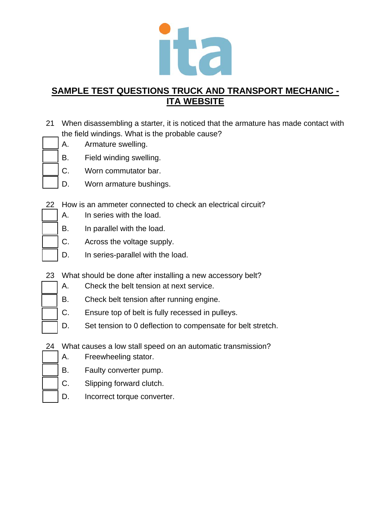

- 21 When disassembling a starter, it is noticed that the armature has made contact with the field windings. What is the probable cause?
	- A. Armature swelling.
	- B. Field winding swelling.
		- C. Worn commutator bar.
		- D. Worn armature bushings.
- 22 How is an ammeter connected to check an electrical circuit?
	- A. In series with the load.
	- B. In parallel with the load.
	- C. Across the voltage supply.
	- D. In series-parallel with the load.
- 23 What should be done after installing a new accessory belt?
	- A. Check the belt tension at next service.
	- B. Check belt tension after running engine.
	- C. Ensure top of belt is fully recessed in pulleys.
	- D. Set tension to 0 deflection to compensate for belt stretch.
- 24 What causes a low stall speed on an automatic transmission?
- A. Freewheeling stator.
	- B. Faulty converter pump.
	- C. Slipping forward clutch.
	- D. Incorrect torque converter.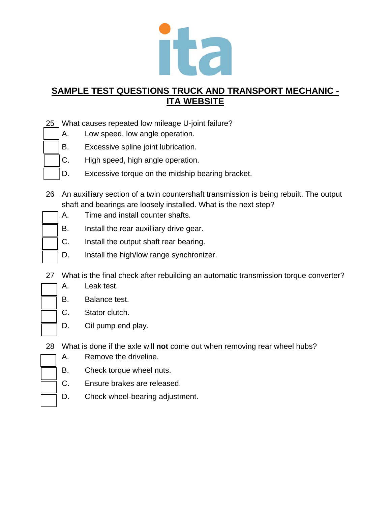

- 25 What causes repeated low mileage U-joint failure?
	- A. Low speed, low angle operation.
	- B. Excessive spline joint lubrication.
	- C. High speed, high angle operation.
	- D. Excessive torque on the midship bearing bracket.
- 26 An auxilliary section of a twin countershaft transmission is being rebuilt. The output shaft and bearings are loosely installed. What is the next step?
	- A. Time and install counter shafts.
	- B. Install the rear auxilliary drive gear.
	- C. Install the output shaft rear bearing.
	- D. Install the high/low range synchronizer.
- 27 What is the final check after rebuilding an automatic transmission torque converter?
	- A. Leak test.
	- B. Balance test.
	- C. Stator clutch.
	- D. Oil pump end play.
- 28 What is done if the axle will **not** come out when removing rear wheel hubs?
	- A. Remove the driveline.
	- B. Check torque wheel nuts.
	- C. Ensure brakes are released.
	- D. Check wheel-bearing adjustment.